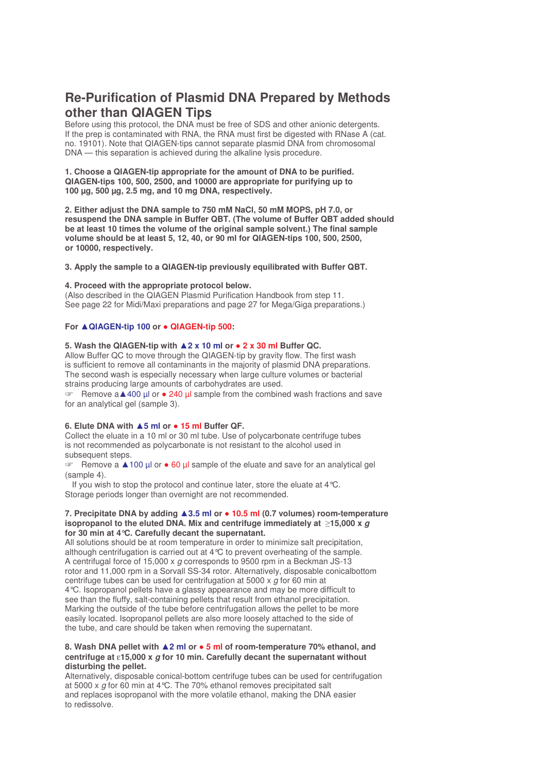# **Re-Purification of Plasmid DNA Prepared by Methods other than QIAGEN Tips**

Before using this protocol, the DNA must be free of SDS and other anionic detergents. If the prep is contaminated with RNA, the RNA must first be digested with [RNase](http://www1.qiagen.com/Products/Accessories/AccessoryEnzymes/RNaseA.aspx) A (cat. no. 19101). Note that QIAGEN-tips cannot separate plasmid DNA from chromosomal DNA — this separation is achieved during the alkaline lysis procedure.

#### **1. Choose a QIAGEN-tip appropriate for the amount of DNA to be purified. QIAGEN-tips 100, 500, 2500, and 10000 are appropriate for purifying up to 100 µg, 500 µg, 2.5 mg, and 10 mg DNA, respectively.**

**2. Either adjust the DNA sample to 750 mM NaCl, 50 mM MOPS, pH 7.0, or resuspend the DNA sample in Buffer QBT. (The volume of Buffer QBT added should be at least 10 times the volume of the original sample solvent.) The final sample volume should be at least 5, 12, 40, or 90 ml for QIAGEN-tips 100, 500, 2500, or 10000, respectively.**

#### **3. Apply the sample to a QIAGEN-tip previously equilibrated with Buffer QBT.**

## **4. Proceed with the appropriate protocol below.**

(Also described in the QIAGEN Plasmid [Purification](http://www1.qiagen.com/HB/PlasmidPurification) Handbook from step 11. See page 22 for Midi/Maxi preparations and page 27 for Mega/Giga preparations.)

# **For QIAGEN-tip 100 or** - **QIAGEN-tip 500:**

# **5. Wash the QIAGEN-tip with 2 x 10 ml or** - **2 x 30 ml Buffer QC.**

Allow Buffer QC to move through the QIAGEN-tip by gravity flow. The first wash is sufficient to remove all contaminants in the majority of plasmid DNA preparations. The second wash is especially necessary when large culture volumes or bacterial strains producing large amounts of carbohydrates are used.

trandom Remove a **A**400 µl or  $\bullet$  240 µl sample from the combined wash fractions and save for an analytical gel (sample 3).

# **6. Elute DNA with 5 ml or** - **15 ml Buffer QF.**

Collect the eluate in a 10 ml or 30 ml tube. Use of polycarbonate centrifuge tubes is not recommended as polycarbonate is not resistant to the alcohol used in subsequent steps.

**EXECUTE:** Remove a **100** µl or • 60 µl sample of the eluate and save for an analytical gel (sample 4).

If you wish to stop the protocol and continue later, store the eluate at 4°C. Storage periods longer than overnight are not recommended.

#### **7. Precipitate DNA by adding 3.5 ml or** - **10.5 ml (0.7 volumes) room-temperature isopropanol to the eluted DNA. Mix and centrifuge immediately at 15,000 x** *g* **for 30 min at 4°C. Carefully decant the supernatant.**

All solutions should be at room temperature in order to minimize salt precipitation, although centrifugation is carried out at 4°C to prevent overheating of the sample. A centrifugal force of 15,000 x *g* corresponds to 9500 rpm in a Beckman JS-13 rotor and 11,000 rpm in a Sorvall SS-34 rotor. Alternatively, disposable conicalbottom centrifuge tubes can be used for centrifugation at 5000 x *g* for 60 min at 4°C. Isopropanol pellets have a glassy appearance and may be more difficult to see than the fluffy, salt-containing pellets that result from ethanol precipitation. Marking the outside of the tube before centrifugation allows the pellet to be more easily located. Isopropanol pellets are also more loosely attached to the side of the tube, and care should be taken when removing the supernatant.

# **8. Wash DNA pellet with 2 ml or** - **5 ml of room-temperature 70% ethanol, and centrifuge at** ε**15,000 x** *g* **for 10 min. Carefully decant the supernatant without disturbing the pellet.**

Alternatively, disposable conical-bottom centrifuge tubes can be used for centrifugation at 5000 x *g* for 60 min at 4°C. The 70% ethanol removes precipitated salt and replaces isopropanol with the more volatile ethanol, making the DNA easier to redissolve.